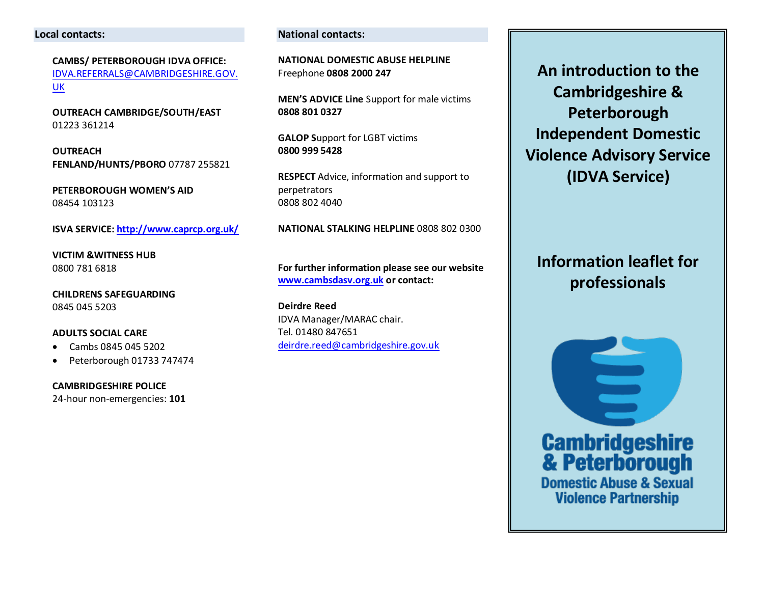#### **Local contacts:**

**CAMBS/ PETERBOROUGH IDVA OFFICE:**  [IDVA.REFERRALS@CAMBRIDGESHIRE.GOV.](mailto:Idva.Referrals@cambridgeshire.gov.uk) [UK](mailto:Idva.Referrals@cambridgeshire.gov.uk) 

**OUTREACH CAMBRIDGE/SOUTH/EAST**  01223 361214

**OUTREACH FENLAND/HUNTS/PBORO** 07787 255821

**PETERBOROUGH WOMEN'S AID**  08454 103123

**ISVA SERVICE[: http://www.caprcp.org.uk/](http://www.caprcp.org.uk/)**

**VICTIM &WITNESS HUB** 0800 781 6818

**CHILDRENS SAFEGUARDING**  0845 045 5203

#### **ADULTS SOCIAL CARE**

- Cambs 0845 045 5202
- Peterborough 01733 747474

**CAMBRIDGESHIRE POLICE**  24-hour non-emergencies: **101**

#### **National contacts:**

**NATIONAL DOMESTIC ABUSE HELPLINE** Freephone **0808 2000 247** 

**MEN'S ADVICE Line** Support for male victims **0808 801 0327** 

**GALOP S**upport for LGBT victims **0800 999 5428** 

**RESPECT** Advice, information and support to perpetrators 0808 802 4040

**NATIONAL STALKING HELPLINE** 0808 802 0300

**For further information please see our website [www.cambsdasv.org.uk](http://www.cambsdasv.org.uk/) or contact:** 

**Deirdre Reed**  IDVA Manager/MARAC chair. Tel. 01480 847651 [deirdre.reed@cambridgeshire.gov.uk](mailto:deirdre.reed@cambridgeshire.gov.uk)

**An introduction to the Cambridgeshire & Peterborough Independent Domestic Violence Advisory Service (IDVA Service)** 

**Information leaflet for professionals** 

 $\equiv$ **Cambridgeshire**<br>& Peterborough **Domestic Abuse & Sexual Violence Partnership**